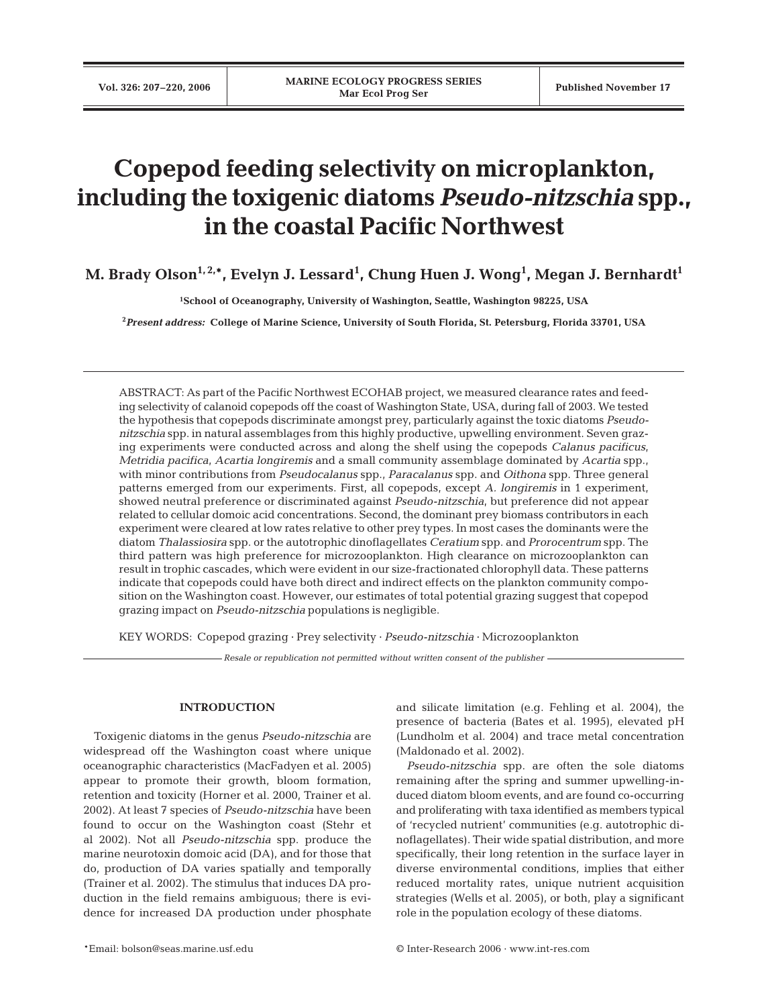# **Copepod feeding selectivity on microplankton, including the toxigenic diatoms** *Pseudo-nitzschia* **spp., in the coastal Pacific Northwest**

M. Brady Olson<sup>1,2,</sup>\*, Evelyn J. Lessard<sup>1</sup>, Chung Huen J. Wong<sup>1</sup>, Megan J. Bernhardt<sup>1</sup>

**1School of Oceanography, University of Washington, Seattle, Washington 98225, USA**

**2** *Present address:* **College of Marine Science, University of South Florida, St. Petersburg, Florida 33701, USA**

ABSTRACT: As part of the Pacific Northwest ECOHAB project, we measured clearance rates and feeding selectivity of calanoid copepods off the coast of Washington State, USA, during fall of 2003. We tested the hypothesis that copepods discriminate amongst prey, particularly against the toxic diatoms *Pseudonitzschia* spp. in natural assemblages from this highly productive, upwelling environment. Seven grazing experiments were conducted across and along the shelf using the copepods *Calanus pacificus*, *Metridia pacifica*, *Acartia longiremis* and a small community assemblage dominated by *Acartia* spp., with minor contributions from *Pseudocalanus* spp., *Paracalanus* spp. and *Oithona* spp. Three general patterns emerged from our experiments. First, all copepods, except *A. longiremis* in 1 experiment, showed neutral preference or discriminated against *Pseudo-nitzschia*, but preference did not appear related to cellular domoic acid concentrations. Second, the dominant prey biomass contributors in each experiment were cleared at low rates relative to other prey types. In most cases the dominants were the diatom *Thalassiosira* spp. or the autotrophic dinoflagellates *Ceratium* spp. and *Prorocentrum* spp. The third pattern was high preference for microzooplankton. High clearance on microzooplankton can result in trophic cascades, which were evident in our size-fractionated chlorophyll data. These patterns indicate that copepods could have both direct and indirect effects on the plankton community composition on the Washington coast. However, our estimates of total potential grazing suggest that copepod grazing impact on *Pseudo-nitzschia* populations is negligible.

KEY WORDS: Copepod grazing · Prey selectivity · *Pseudo-nitzschia* · Microzooplankton

*Resale or republication not permitted without written consent of the publisher*

## **INTRODUCTION**

Toxigenic diatoms in the genus *Pseudo-nitzschia* are widespread off the Washington coast where unique oceanographic characteristics (MacFadyen et al. 2005) appear to promote their growth, bloom formation, retention and toxicity (Horner et al. 2000, Trainer et al. 2002). At least 7 species of *Pseudo-nitzschia* have been found to occur on the Washington coast (Stehr et al 2002). Not all *Pseudo-nitzschia* spp. produce the marine neurotoxin domoic acid (DA), and for those that do, production of DA varies spatially and temporally (Trainer et al. 2002). The stimulus that induces DA production in the field remains ambiguous; there is evidence for increased DA production under phosphate

\*Email: bolson@seas.marine.usf.edu © Inter-Research 2006 · www.int-res.com

and silicate limitation (e.g. Fehling et al. 2004), the presence of bacteria (Bates et al. 1995), elevated pH (Lundholm et al. 2004) and trace metal concentration (Maldonado et al. 2002).

*Pseudo-nitzschia* spp. are often the sole diatoms remaining after the spring and summer upwelling-induced diatom bloom events, and are found co-occurring and proliferating with taxa identified as members typical of 'recycled nutrient' communities (e.g. autotrophic dinoflagellates). Their wide spatial distribution, and more specifically, their long retention in the surface layer in diverse environmental conditions, implies that either reduced mortality rates, unique nutrient acquisition strategies (Wells et al*.* 2005), or both, play a significant role in the population ecology of these diatoms.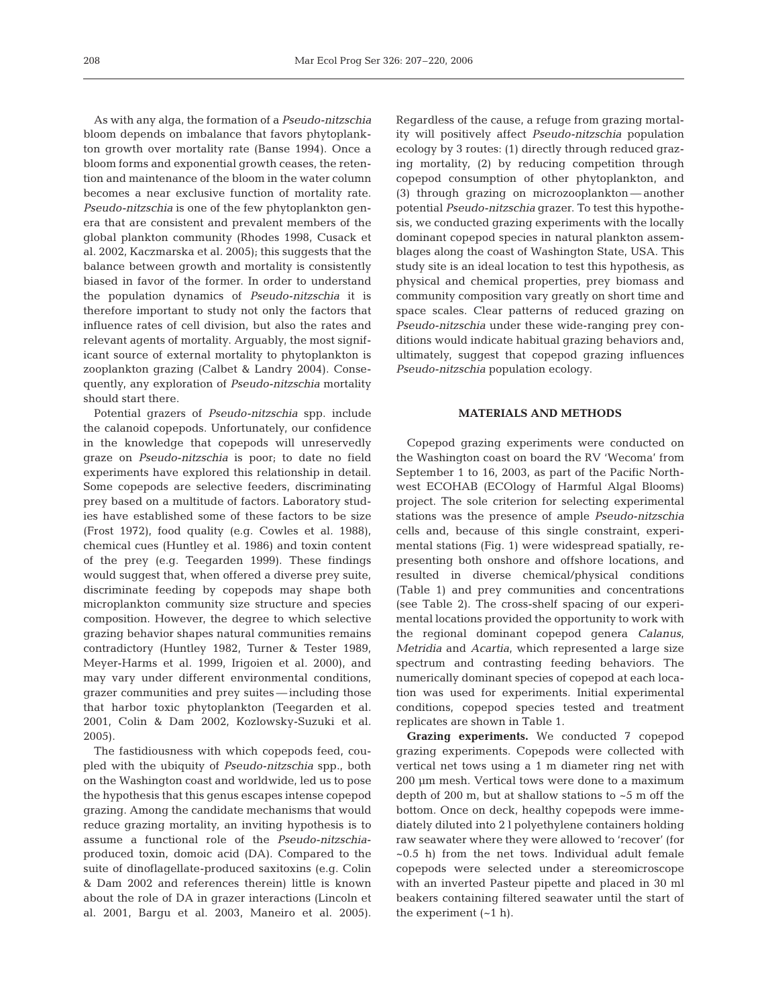As with any alga, the formation of a *Pseudo-nitzschia* bloom depends on imbalance that favors phytoplankton growth over mortality rate (Banse 1994). Once a bloom forms and exponential growth ceases, the retention and maintenance of the bloom in the water column becomes a near exclusive function of mortality rate. *Pseudo-nitzschia* is one of the few phytoplankton genera that are consistent and prevalent members of the global plankton community (Rhodes 1998, Cusack et al*.* 2002, Kaczmarska et al*.* 2005); this suggests that the balance between growth and mortality is consistently biased in favor of the former. In order to understand the population dynamics of *Pseudo-nitzschia* it is therefore important to study not only the factors that influence rates of cell division, but also the rates and relevant agents of mortality. Arguably, the most significant source of external mortality to phytoplankton is zooplankton grazing (Calbet & Landry 2004). Consequently, any exploration of *Pseudo-nitzschia* mortality should start there.

Potential grazers of *Pseudo-nitzschia* spp. include the calanoid copepods. Unfortunately, our confidence in the knowledge that copepods will unreservedly graze on *Pseudo-nitzschia* is poor; to date no field experiments have explored this relationship in detail. Some copepods are selective feeders, discriminating prey based on a multitude of factors. Laboratory studies have established some of these factors to be size (Frost 1972), food quality (e.g. Cowles et al*.* 1988), chemical cues (Huntley et al*.* 1986) and toxin content of the prey (e.g. Teegarden 1999). These findings would suggest that, when offered a diverse prey suite, discriminate feeding by copepods may shape both microplankton community size structure and species composition. However, the degree to which selective grazing behavior shapes natural communities remains contradictory (Huntley 1982, Turner & Tester 1989, Meyer-Harms et al*.* 1999, Irigoien et al*.* 2000), and may vary under different environmental conditions, grazer communities and prey suites — including those that harbor toxic phytoplankton (Teegarden et al*.* 2001, Colin & Dam 2002, Kozlowsky-Suzuki et al*.* 2005).

The fastidiousness with which copepods feed, coupled with the ubiquity of *Pseudo-nitzschia* spp., both on the Washington coast and worldwide, led us to pose the hypothesis that this genus escapes intense copepod grazing. Among the candidate mechanisms that would reduce grazing mortality, an inviting hypothesis is to assume a functional role of the *Pseudo-nitzschia*produced toxin, domoic acid (DA). Compared to the suite of dinoflagellate-produced saxitoxins (e.g. Colin & Dam 2002 and references therein) little is known about the role of DA in grazer interactions (Lincoln et al. 2001, Bargu et al. 2003, Maneiro et al. 2005). Regardless of the cause, a refuge from grazing mortality will positively affect *Pseudo-nitzschia* population ecology by 3 routes: (1) directly through reduced grazing mortality, (2) by reducing competition through copepod consumption of other phytoplankton, and (3) through grazing on microzooplankton — another potential *Pseudo-nitzschia* grazer. To test this hypothesis, we conducted grazing experiments with the locally dominant copepod species in natural plankton assemblages along the coast of Washington State, USA. This study site is an ideal location to test this hypothesis, as physical and chemical properties, prey biomass and community composition vary greatly on short time and space scales. Clear patterns of reduced grazing on *Pseudo-nitzschia* under these wide-ranging prey conditions would indicate habitual grazing behaviors and, ultimately, suggest that copepod grazing influences *Pseudo-nitzschia* population ecology.

## **MATERIALS AND METHODS**

Copepod grazing experiments were conducted on the Washington coast on board the RV 'Wecoma' from September 1 to 16, 2003, as part of the Pacific Northwest ECOHAB (ECOlogy of Harmful Algal Blooms) project. The sole criterion for selecting experimental stations was the presence of ample *Pseudo-nitzschia* cells and, because of this single constraint, experimental stations (Fig. 1) were widespread spatially, representing both onshore and offshore locations, and resulted in diverse chemical/physical conditions (Table 1) and prey communities and concentrations (see Table 2). The cross-shelf spacing of our experimental locations provided the opportunity to work with the regional dominant copepod genera *Calanus*, *Metridia* and *Acartia*, which represented a large size spectrum and contrasting feeding behaviors. The numerically dominant species of copepod at each location was used for experiments. Initial experimental conditions, copepod species tested and treatment replicates are shown in Table 1.

**Grazing experiments.** We conducted 7 copepod grazing experiments. Copepods were collected with vertical net tows using a 1 m diameter ring net with 200 μm mesh. Vertical tows were done to a maximum depth of 200 m, but at shallow stations to ~5 m off the bottom. Once on deck, healthy copepods were immediately diluted into 2 l polyethylene containers holding raw seawater where they were allowed to 'recover' (for  $~0.5$  h) from the net tows. Individual adult female copepods were selected under a stereomicroscope with an inverted Pasteur pipette and placed in 30 ml beakers containing filtered seawater until the start of the experiment  $(-1 h)$ .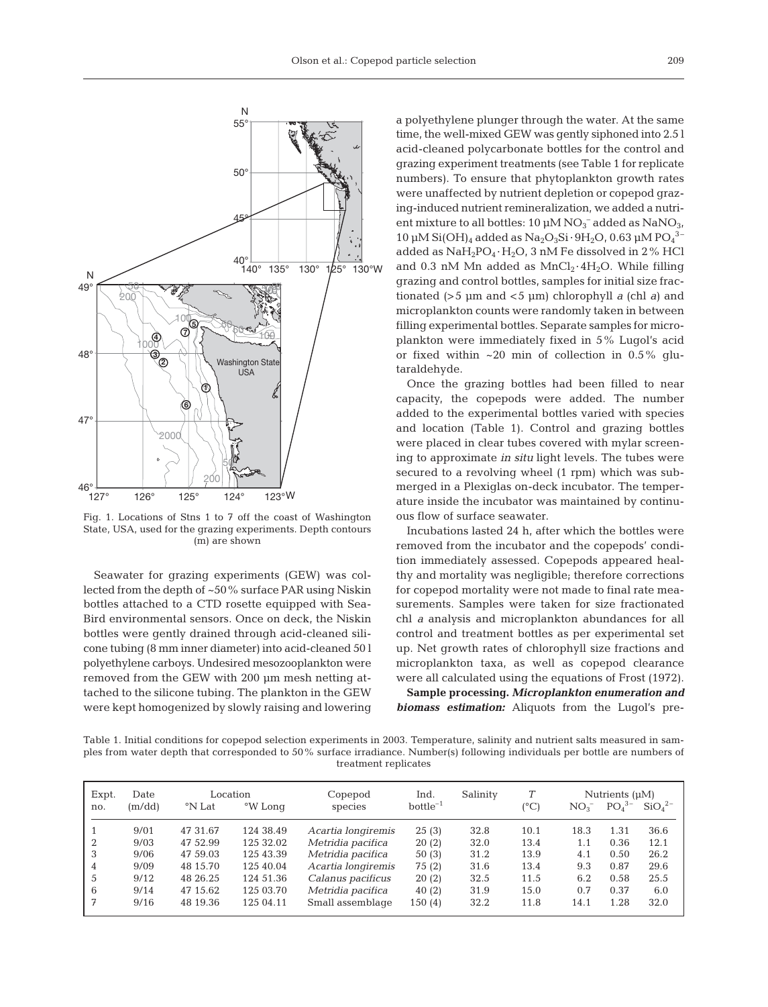

Fig. 1. Locations of Stns 1 to 7 off the coast of Washington State, USA, used for the grazing experiments. Depth contours (m) are shown

Seawater for grazing experiments (GEW) was collected from the depth of ~50% surface PAR using Niskin bottles attached to a CTD rosette equipped with Sea-Bird environmental sensors. Once on deck, the Niskin bottles were gently drained through acid-cleaned silicone tubing (8 mm inner diameter) into acid-cleaned 50 l polyethylene carboys. Undesired mesozooplankton were removed from the GEW with 200 μm mesh netting attached to the silicone tubing. The plankton in the GEW were kept homogenized by slowly raising and lowering

a polyethylene plunger through the water. At the same time, the well-mixed GEW was gently siphoned into 2.5 l acid-cleaned polycarbonate bottles for the control and grazing experiment treatments (see Table 1 for replicate numbers). To ensure that phytoplankton growth rates were unaffected by nutrient depletion or copepod grazing-induced nutrient remineralization, we added a nutrient mixture to all bottles:  $10 \mu M NO<sub>3</sub>$  added as  $NaNO<sub>3</sub>$ , 10 μM Si(OH)<sub>4</sub> added as Na<sub>2</sub>O<sub>3</sub>Si · 9H<sub>2</sub>O, 0.63 μM PO<sub>4</sub><sup>3-</sup> added as  $\text{NaH}_2\text{PO}_4 \cdot \text{H}_2\text{O}$ , 3 nM Fe dissolved in 2% HCl and 0.3 nM Mn added as  $MnCl<sub>2</sub>·4H<sub>2</sub>O$ . While filling grazing and control bottles, samples for initial size fractionated (> 5 μm and < 5 μm) chlorophyll *a* (chl *a*) and microplankton counts were randomly taken in between filling experimental bottles. Separate samples for microplankton were immediately fixed in 5% Lugol's acid or fixed within  $\sim 20$  min of collection in 0.5% glutaraldehyde.

Once the grazing bottles had been filled to near capacity, the copepods were added. The number added to the experimental bottles varied with species and location (Table 1). Control and grazing bottles were placed in clear tubes covered with mylar screening to approximate *in situ* light levels. The tubes were secured to a revolving wheel (1 rpm) which was submerged in a Plexiglas on-deck incubator. The temperature inside the incubator was maintained by continuous flow of surface seawater.

Incubations lasted 24 h, after which the bottles were removed from the incubator and the copepods' condition immediately assessed. Copepods appeared healthy and mortality was negligible; therefore corrections for copepod mortality were not made to final rate measurements. Samples were taken for size fractionated chl *a* analysis and microplankton abundances for all control and treatment bottles as per experimental set up. Net growth rates of chlorophyll size fractions and microplankton taxa, as well as copepod clearance were all calculated using the equations of Frost (1972).

**Sample processing.** *Microplankton enumeration and biomass estimation:* Aliquots from the Lugol's pre-

Table 1. Initial conditions for copepod selection experiments in 2003. Temperature, salinity and nutrient salts measured in samples from water depth that corresponded to 50% surface irradiance. Number(s) following individuals per bottle are numbers of treatment replicates

| Expt.<br>no. | Date<br>(m/dd) | Location<br>°W Long<br>°N Lat |           | Copepod<br>species | Ind.<br>$bottle^{-1}$ | Salinity | T<br>(°C) | NO <sub>3</sub> | Nutrients $(\mu M)$<br>$PO43-$ | SiO <sub>4</sub> <sup>2–</sup> |
|--------------|----------------|-------------------------------|-----------|--------------------|-----------------------|----------|-----------|-----------------|--------------------------------|--------------------------------|
|              | 9/01           | 47 31.67                      | 124 38.49 | Acartia longiremis | 25(3)                 | 32.8     | 10.1      | 18.3            | 1.31                           | 36.6                           |
| 2            | 9/03           | 47 52.99                      | 125 32.02 | Metridia pacifica  | 20(2)                 | 32.0     | 13.4      | 1.1             | 0.36                           | 12.1                           |
| 3            | 9/06           | 47 59.03                      | 125 43.39 | Metridia pacifica  | 50(3)                 | 31.2     | 13.9      | 4.1             | 0.50                           | 26.2                           |
| 4            | 9/09           | 48 15.70                      | 125 40.04 | Acartia longiremis | 75 (2)                | 31.6     | 13.4      | 9.3             | 0.87                           | 29.6                           |
| 5            | 9/12           | 48 26.25                      | 124 51.36 | Calanus pacificus  | 20(2)                 | 32.5     | 11.5      | 6.2             | 0.58                           | 25.5                           |
| 6            | 9/14           | 47 15.62                      | 125 03.70 | Metridia pacifica  | 40(2)                 | 31.9     | 15.0      | 0.7             | 0.37                           | 6.0                            |
|              | 9/16           | 48 19.36                      | 125 04.11 | Small assemblage   | 150(4)                | 32.2     | 11.8      | 14.1            | 1.28                           | 32.0                           |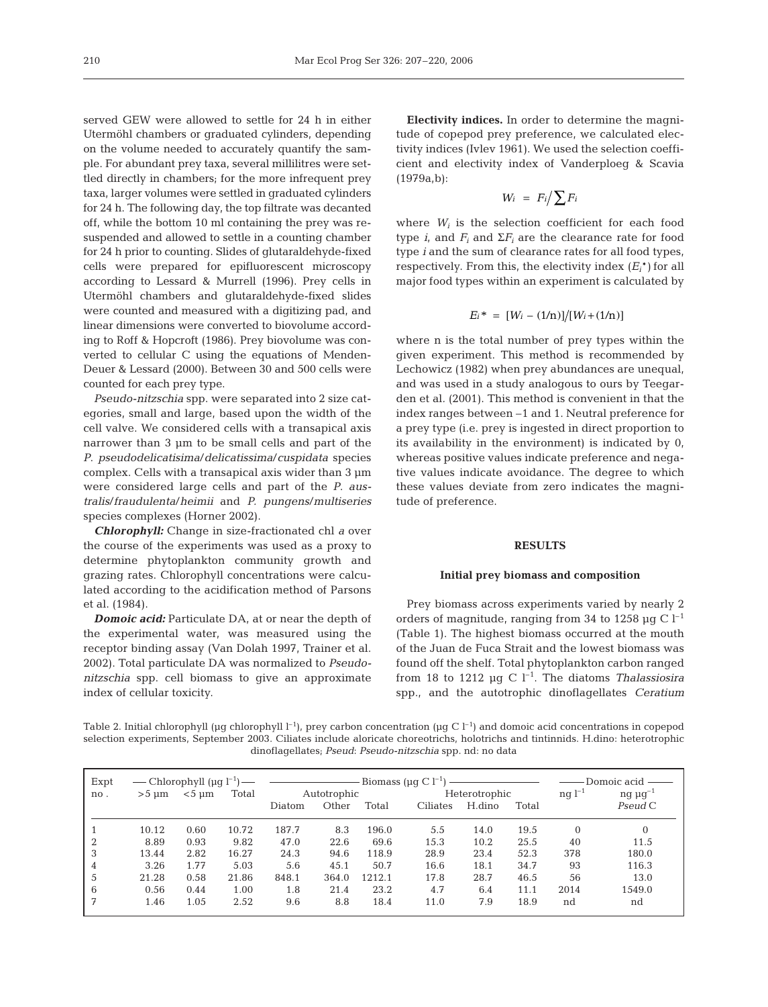served GEW were allowed to settle for 24 h in either Utermöhl chambers or graduated cylinders, depending on the volume needed to accurately quantify the sample. For abundant prey taxa, several millilitres were settled directly in chambers; for the more infrequent prey taxa, larger volumes were settled in graduated cylinders for 24 h. The following day, the top filtrate was decanted off, while the bottom 10 ml containing the prey was resuspended and allowed to settle in a counting chamber for 24 h prior to counting. Slides of glutaraldehyde-fixed cells were prepared for epifluorescent microscopy according to Lessard & Murrell (1996). Prey cells in Utermöhl chambers and glutaraldehyde-fixed slides were counted and measured with a digitizing pad, and linear dimensions were converted to biovolume according to Roff & Hopcroft (1986). Prey biovolume was converted to cellular C using the equations of Menden-Deuer & Lessard (2000). Between 30 and 500 cells were counted for each prey type.

*Pseudo-nitzschia* spp. were separated into 2 size categories, small and large, based upon the width of the cell valve. We considered cells with a transapical axis narrower than 3 μm to be small cells and part of the *P*. *pseudodelicatisima*/*delicatissima*/*cuspidata* species complex. Cells with a transapical axis wider than 3 μm were considered large cells and part of the *P*. *australis*/*fraudulenta*/*heimii* and *P. pungens*/*multiseries* species complexes (Horner 2002).

*Chlorophyll:* Change in size-fractionated chl *a* over the course of the experiments was used as a proxy to determine phytoplankton community growth and grazing rates. Chlorophyll concentrations were calculated according to the acidification method of Parsons et al. (1984).

*Domoic acid:* Particulate DA, at or near the depth of the experimental water, was measured using the receptor binding assay (Van Dolah 1997, Trainer et al. 2002). Total particulate DA was normalized to *Pseudonitzschia* spp. cell biomass to give an approximate index of cellular toxicity.

**Electivity indices.** In order to determine the magnitude of copepod prey preference, we calculated electivity indices (Ivlev 1961). We used the selection coefficient and electivity index of Vanderploeg & Scavia (1979a,b):

$$
W_i = F_i / \sum F_i
$$

where  $W_i$  is the selection coefficient for each food type *i*, and  $F_i$  and  $\Sigma F_i$  are the clearance rate for food type *i* and the sum of clearance rates for all food types, respectively. From this, the electivity index  $(E_i^*)$  for all major food types within an experiment is calculated by

$$
E_i^* = [W_i - (1/n)]/[W_i + (1/n)]
$$

where n is the total number of prey types within the given experiment. This method is recommended by Lechowicz (1982) when prey abundances are unequal, and was used in a study analogous to ours by Teegarden et al*.* (2001). This method is convenient in that the index ranges between –1 and 1. Neutral preference for a prey type (i.e. prey is ingested in direct proportion to its availability in the environment) is indicated by 0, whereas positive values indicate preference and negative values indicate avoidance. The degree to which these values deviate from zero indicates the magnitude of preference.

#### **RESULTS**

#### **Initial prey biomass and composition**

Prey biomass across experiments varied by nearly 2 orders of magnitude, ranging from 34 to 1258  $\mu$ g C l<sup>-1</sup> (Table 1). The highest biomass occurred at the mouth of the Juan de Fuca Strait and the lowest biomass was found off the shelf. Total phytoplankton carbon ranged from 18 to 1212  $\mu$ g C l<sup>-1</sup>. The diatoms *Thalassiosira* spp., and the autotrophic dinoflagellates *Ceratium*

Table 2. Initial chlorophyll  $\mu$ g chlorophyll  $l^{-1}$ ), prey carbon concentration (μg C  $l^{-1}$ ) and domoic acid concentrations in copepod selection experiments, September 2003. Ciliates include aloricate choreotrichs, holotrichs and tintinnids. H.dino: heterotrophic dinoflagellates; *Pseud*: *Pseudo-nitzschia* spp. nd: no data

| Expt<br>no. | $>5 \mu$ m | $<$ 5 $\mu$ m | Total |        | Autotrophic |        | Heterotrophic |        |       | $nq$ $l^{-1}$ | Domoic acid —<br>ng $\mu$ g <sup>-1</sup> |
|-------------|------------|---------------|-------|--------|-------------|--------|---------------|--------|-------|---------------|-------------------------------------------|
|             |            |               |       | Diatom | Other       | Total  | Ciliates      | H.dino | Total |               | Pseud C                                   |
|             | 10.12      | 0.60          | 10.72 | 187.7  | 8.3         | 196.0  | 5.5           | 14.0   | 19.5  | $\Omega$      | $\Omega$                                  |
|             | 8.89       | 0.93          | 9.82  | 47.0   | 22.6        | 69.6   | 15.3          | 10.2   | 25.5  | 40            | 11.5                                      |
| 3           | 13.44      | 2.82          | 16.27 | 24.3   | 94.6        | 118.9  | 28.9          | 23.4   | 52.3  | 378           | 180.0                                     |
| 4           | 3.26       | 1.77          | 5.03  | 5.6    | 45.1        | 50.7   | 16.6          | 18.1   | 34.7  | 93            | 116.3                                     |
| 5           | 21.28      | 0.58          | 21.86 | 848.1  | 364.0       | 1212.1 | 17.8          | 28.7   | 46.5  | 56            | 13.0                                      |
| 6           | 0.56       | 0.44          | 1.00  | 1.8    | 21.4        | 23.2   | 4.7           | 6.4    | 11.1  | 2014          | 1549.0                                    |
|             | 1.46       | 1.05          | 2.52  | 9.6    | 8.8         | 18.4   | 11.0          | 7.9    | 18.9  | nd            | nd                                        |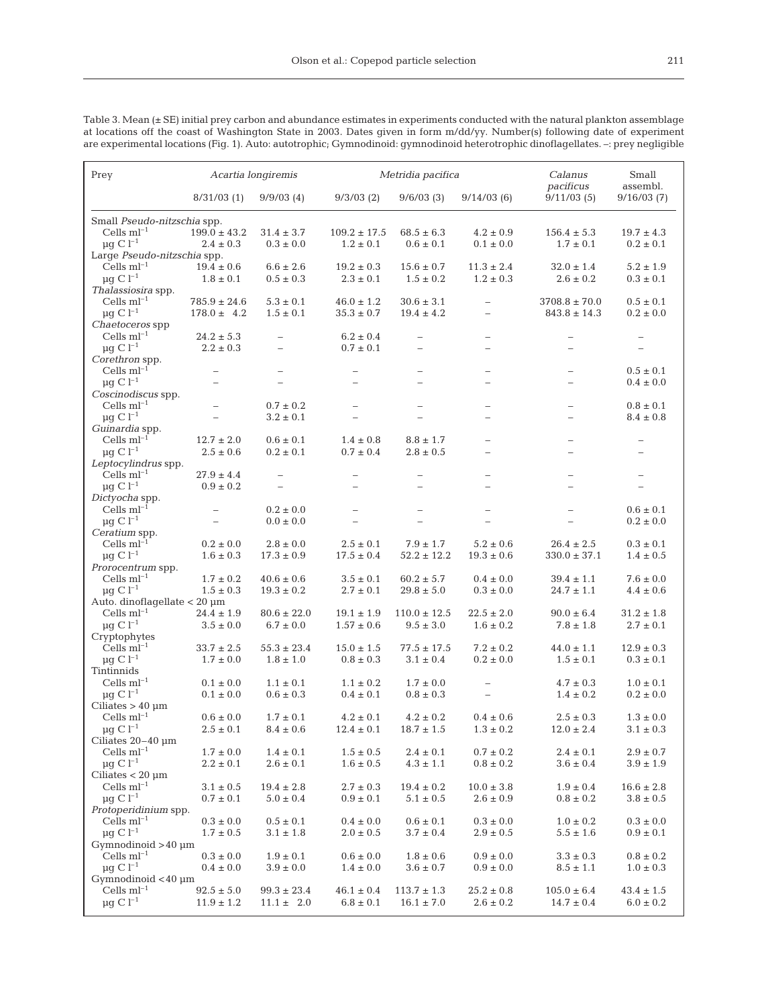Table 3. Mean (± SE) initial prey carbon and abundance estimates in experiments conducted with the natural plankton assemblage at locations off the coast of Washington State in 2003. Dates given in form m/dd/yy. Number(s) following date of experiment are experimental locations (Fig. 1). Auto: autotrophic; Gymnodinoid: gymnodinoid heterotrophic dinoflagellates. –: prey negligible

| Prey                                | Acartia longiremis               |                          |                                 | Metridia pacifica               |                          | Calanus<br>pacificus              | Small<br>assembl.               |  |  |  |
|-------------------------------------|----------------------------------|--------------------------|---------------------------------|---------------------------------|--------------------------|-----------------------------------|---------------------------------|--|--|--|
|                                     | 8/31/03(1)                       | 9/9/03(4)                | $9/3/03$ (2)                    | 9/6/03(3)                       | 9/14/03(6)               | 9/11/03(5)                        | 9/16/03(7)                      |  |  |  |
| Small Pseudo-nitzschia spp.         |                                  |                          |                                 |                                 |                          |                                   |                                 |  |  |  |
| Cells $ml^{-1}$                     | $199.0 \pm 43.2$                 | $31.4 \pm 3.7$           | $109.2 \pm 17.5$                | $68.5 \pm 6.3$                  | $4.2 \pm 0.9$            | $156.4 \pm 5.3$                   | $19.7 \pm 4.3$                  |  |  |  |
| $\mu$ g C l <sup>-1</sup>           | $2.4 \pm 0.3$                    | $0.3 \pm 0.0$            | $1.2 \pm 0.1$                   | $0.6 \pm 0.1$                   | $0.1 \pm 0.0$            | $1.7 \pm 0.1$                     | $0.2 \pm 0.1$                   |  |  |  |
| Large Pseudo-nitzschia spp.         |                                  |                          |                                 |                                 |                          |                                   |                                 |  |  |  |
| Cells $ml^{-1}$                     | $19.4 \pm 0.6$                   | $6.6 \pm 2.6$            | $19.2 \pm 0.3$                  | $15.6 \pm 0.7$                  | $11.3 \pm 2.4$           | $32.0 \pm 1.4$                    | $5.2 \pm 1.9$                   |  |  |  |
| $\mu$ g C l <sup>-1</sup>           |                                  |                          |                                 |                                 | $1.2 \pm 0.3$            |                                   |                                 |  |  |  |
| Thalassiosira spp.                  | $1.8 \pm 0.1$                    | $0.5 \pm 0.3$            | $2.3 \pm 0.1$                   | $1.5 \pm 0.2$                   |                          | $2.6 \pm 0.2$                     | $0.3 \pm 0.1$                   |  |  |  |
|                                     |                                  |                          |                                 |                                 |                          |                                   |                                 |  |  |  |
| Cells $ml^{-1}$                     | $785.9 \pm 24.6$                 | $5.3 \pm 0.1$            | $46.0 \pm 1.2$                  | $30.6 \pm 3.1$                  |                          | $3708.8 \pm 70.0$                 | $0.5 \pm 0.1$                   |  |  |  |
| $\mu$ g C l <sup>-1</sup>           | $178.0 \pm 4.2$                  | $1.5 \pm 0.1$            | $35.3 \pm 0.7$                  | $19.4 \pm 4.2$                  | $\overline{\phantom{0}}$ | $843.8 \pm 14.3$                  | $0.2 \pm 0.0$                   |  |  |  |
| <i>Chaetoceros</i> spp              |                                  |                          |                                 |                                 |                          |                                   |                                 |  |  |  |
| Cells $ml^{-1}$                     | $24.2 \pm 5.3$                   | $\overline{\phantom{0}}$ | $6.2 \pm 0.4$                   | $\overline{\phantom{0}}$        | $\overline{\phantom{0}}$ | $\overline{\phantom{0}}$          |                                 |  |  |  |
| $\mu$ g C l <sup>-1</sup>           | $2.2 \pm 0.3$                    | $\overline{\phantom{0}}$ | $0.7 \pm 0.1$                   |                                 | $\overline{\phantom{0}}$ | L.                                |                                 |  |  |  |
| Corethron spp.                      |                                  |                          |                                 |                                 |                          |                                   |                                 |  |  |  |
| Cells $ml^{-1}$                     | $\overline{\phantom{0}}$         | $\qquad \qquad -$        | $\overline{\phantom{0}}$        | $\overline{\phantom{0}}$        | $\qquad \qquad -$        | $\overline{\phantom{0}}$          | $0.5 \pm 0.1$                   |  |  |  |
| $\mu$ g C l <sup>-1</sup>           | $\overline{\phantom{0}}$         | L.                       |                                 | Ē.                              | L.                       | $\overline{\phantom{0}}$          | $0.4 \pm 0.0$                   |  |  |  |
| <i>Coscinodiscus</i> spp.           |                                  |                          |                                 |                                 |                          |                                   |                                 |  |  |  |
| Cells $ml^{-1}$                     | $\equiv$                         | $0.7 \pm 0.2$            | $\overline{\phantom{0}}$        | $\equiv$                        | $\overline{\phantom{0}}$ | $\overline{a}$                    | $0.8 \pm 0.1$                   |  |  |  |
| $\mu$ q C l <sup>-1</sup>           | $\overline{\phantom{0}}$         | $3.2 \pm 0.1$            | $\overline{\phantom{0}}$        | L.                              | $\overline{\phantom{0}}$ | $\overline{a}$                    | $8.4 \pm 0.8$                   |  |  |  |
| Guinardia spp.                      |                                  |                          |                                 |                                 |                          |                                   |                                 |  |  |  |
| Cells $ml^{-1}$                     | $12.7 \pm 2.0$                   | $0.6 \pm 0.1$            | $1.4 \pm 0.8$                   | $8.8 \pm 1.7$                   |                          |                                   |                                 |  |  |  |
| $\mu$ g C l <sup>-1</sup>           | $2.5 \pm 0.6$                    | $0.2 \pm 0.1$            | $0.7 \pm 0.4$                   | $2.8 \pm 0.5$                   |                          |                                   |                                 |  |  |  |
| Leptocylindrus spp.                 |                                  |                          |                                 |                                 |                          |                                   |                                 |  |  |  |
| Cells $ml^{-1}$                     | $27.9 \pm 4.4$                   |                          | -                               |                                 |                          |                                   |                                 |  |  |  |
| $\mu$ g C l <sup>-1</sup>           | $0.9 \pm 0.2$                    | $\overline{\phantom{0}}$ | $\overline{\phantom{0}}$        | ÷                               | $\overline{\phantom{0}}$ | L,                                | $\overline{\phantom{0}}$        |  |  |  |
| Dictyocha spp.                      |                                  |                          |                                 |                                 |                          |                                   |                                 |  |  |  |
| Cells $ml^{-1}$                     | $\overline{\phantom{m}}$         | $0.2 \pm 0.0$            | $\overline{\phantom{0}}$        | $\overline{\phantom{0}}$        | $\overline{\phantom{0}}$ | $\overline{\phantom{0}}$          | $0.6 \pm 0.1$                   |  |  |  |
| $\mu$ g C l <sup>-1</sup>           | $\equiv$                         | $0.0 \pm 0.0$            | $\equiv$                        |                                 | $\sim$                   | $\overline{\phantom{a}}$          | $0.2 \pm 0.0$                   |  |  |  |
| Ceratium spp.                       |                                  |                          |                                 |                                 |                          |                                   |                                 |  |  |  |
| Cells $ml^{-1}$                     | $0.2 \pm 0.0$                    | $2.8 \pm 0.0$            | $2.5 \pm 0.1$                   | $7.9 \pm 1.7$                   | $5.2 \pm 0.6$            | $26.4 \pm 2.5$                    | $0.3 \pm 0.1$                   |  |  |  |
| $\mu$ g C l <sup>-1</sup>           | $1.6 \pm 0.3$                    | $17.3 \pm 0.9$           | $17.5 \pm 0.4$                  | $52.2 \pm 12.2$                 | $19.3 \pm 0.6$           | $330.0 \pm 37.1$                  | $1.4 \pm 0.5$                   |  |  |  |
| Prorocentrum spp.                   |                                  |                          |                                 |                                 |                          |                                   |                                 |  |  |  |
| Cells $ml^{-1}$                     | $1.7 \pm 0.2$                    | $40.6 \pm 0.6$           | $3.5 \pm 0.1$                   | $60.2 \pm 5.7$                  | $0.4 \pm 0.0$            | $39.4 \pm 1.1$                    | $7.6 \pm 0.0$                   |  |  |  |
| $\mu$ q C l <sup>-1</sup>           | $1.5 \pm 0.3$                    | $19.3 \pm 0.2$           | $2.7 \pm 0.1$                   | $29.8 \pm 5.0$                  | $0.3 \pm 0.0$            | $24.7 \pm 1.1$                    | $4.4 \pm 0.6$                   |  |  |  |
| Auto. dinoflagellate $<$ 20 $\mu$ m |                                  |                          |                                 |                                 |                          |                                   |                                 |  |  |  |
| Cells $ml^{-1}$                     | $24.4 \pm 1.9$                   | $80.6 \pm 22.0$          | $19.1 \pm 1.9$                  | $110.0 \pm 12.5$                | $22.5 \pm 2.0$           | $90.0 \pm 6.4$                    | $31.2 \pm 1.8$                  |  |  |  |
| $\mu$ g C l <sup>-1</sup>           | $3.5 \pm 0.0$                    | $6.7 \pm 0.0$            | $1.57 \pm 0.6$                  | $9.5 \pm 3.0$                   | $1.6 \pm 0.2$            | $7.8 \pm 1.8$                     | $2.7 \pm 0.1$                   |  |  |  |
| Cryptophytes                        |                                  |                          |                                 |                                 |                          |                                   |                                 |  |  |  |
| Cells $ml^{-1}$                     | $33.7 \pm 2.5$                   | $55.3 \pm 23.4$          | $15.0 \pm 1.5$                  | $77.5 \pm 17.5$                 | $7.2 \pm 0.2$            | $44.0 \pm 1.1$                    | $12.9 \pm 0.3$                  |  |  |  |
| $\mu$ q C l <sup>-1</sup>           | $1.7 \pm 0.0$                    | $1.8 \pm 1.0$            | $0.8 \pm 0.3$                   | $3.1 \pm 0.4$                   | $0.2 \pm 0.0$            | $1.5 \pm 0.1$                     | $0.3 \pm 0.1$                   |  |  |  |
| Tintinnids                          |                                  |                          |                                 |                                 |                          |                                   |                                 |  |  |  |
| Cells $ml^{-1}$                     | $0.1 \pm 0.0$                    | $1.1 \pm 0.1$            | $1.1 \pm 0.2$                   | $1.7 \pm 0.0$                   |                          | $4.7 \pm 0.3$                     | $1.0 \pm 0.1$                   |  |  |  |
| $\mu$ g C l <sup>-1</sup>           | $0.1 \pm 0.0$                    | $0.6 \pm 0.3$            | $0.4 \pm 0.1$                   | $0.8 \pm 0.3$                   |                          | $1.4 \pm 0.2$                     | $0.2 \pm 0.0$                   |  |  |  |
| Ciliates $> 40 \mu$ m               |                                  |                          |                                 |                                 |                          |                                   |                                 |  |  |  |
| Cells $ml^{-1}$                     | $0.6 \pm 0.0$                    | $1.7 \pm 0.1$            | $4.2 \pm 0.1$                   | $4.2 \pm 0.2$                   | $0.4 \pm 0.6$            | $2.5 \pm 0.3$                     | $1.3 \pm 0.0$                   |  |  |  |
| $\mu g \gets l^{-1}$                | $2.5 \pm 0.1$                    | $8.4 \pm 0.6$            | $12.4 \pm 0.1$                  | $18.7 \pm 1.5$                  | $1.3 \pm 0.2$            | $12.0 \pm 2.4$                    | $3.1 \pm 0.3$                   |  |  |  |
| Ciliates 20-40 um                   |                                  |                          |                                 |                                 |                          |                                   |                                 |  |  |  |
| $\mbox{Cells ml}^{-1}$              | $1.7 \pm 0.0$                    | $1.4 \pm 0.1$            | $1.5 \pm 0.5$                   | $2.4 \pm 0.1$                   | $0.7 \pm 0.2$            | $2.4 \pm 0.1$                     | $2.9 \pm 0.7$                   |  |  |  |
| $\mu$ g C l <sup>-1</sup>           | $2.2 \pm 0.1$                    | $2.6 \pm 0.1$            | $1.6 \pm 0.5$                   | $4.3 \pm 1.1$                   | $0.8 \pm 0.2$            | $3.6 \pm 0.4$                     | $3.9 \pm 1.9$                   |  |  |  |
| Ciliates $< 20 \mu m$               |                                  |                          |                                 |                                 |                          |                                   |                                 |  |  |  |
| Cells $ml^{-1}$                     | $3.1 \pm 0.5$                    | $19.4 \pm 2.8$           | $2.7 \pm 0.3$                   | $19.4 \pm 0.2$                  | $10.0 \pm 3.8$           | $1.9 \pm 0.4$                     | $16.6 \pm 2.8$                  |  |  |  |
| $\mu$ g C l <sup>-1</sup>           | $0.7 \pm 0.1$                    | $5.0 \pm 0.4$            | $0.9 \pm 0.1$                   | $5.1 \pm 0.5$                   | $2.6 \pm 0.9$            | $0.8 \pm 0.2$                     | $3.8 \pm 0.5$                   |  |  |  |
| Protoperidinium spp.                |                                  |                          |                                 |                                 |                          |                                   |                                 |  |  |  |
| Cells $ml^{-1}$                     | $0.3 \pm 0.0$                    | $0.5 \pm 0.1$            | $0.4 \pm 0.0$                   | $0.6\pm0.1$                     | $0.3 \pm 0.0$            | $1.0 \pm 0.2$                     | $0.3 \pm 0.0$                   |  |  |  |
| $\mu g \subset l^{-1}$              | $1.7 \pm 0.5$                    | $3.1 \pm 1.8$            | $2.0 \pm 0.5$                   | $3.7 \pm 0.4$                   | $2.9 \pm 0.5$            | $5.5 \pm 1.6$                     | $0.9 \pm 0.1$                   |  |  |  |
| Gymnodinoid $>40 \mu$ m             |                                  |                          |                                 |                                 |                          |                                   |                                 |  |  |  |
| Cells $\mathrm{ml}^{-1}$            | $0.3 \pm 0.0$                    | $1.9 \pm 0.1$            | $0.6 \pm 0.0$                   | $1.8 \pm 0.6$                   | $0.9 \pm 0.0$            | $3.3 \pm 0.3$                     | $0.8 \pm 0.2$                   |  |  |  |
| $\mu$ g C l <sup>-1</sup>           | $0.4 \pm 0.0$                    | $3.9 \pm 0.0$            | $1.4 \pm 0.0$                   | $3.6\pm0.7$                     | $0.9 \pm 0.0$            | $8.5 \pm 1.1$                     | $1.0 \pm 0.3$                   |  |  |  |
| Gymnodinoid <40 µm                  |                                  |                          |                                 |                                 |                          |                                   |                                 |  |  |  |
| Cells $ml^{-1}$                     |                                  | $99.3 \pm 23.4$          |                                 |                                 | $25.2 \pm 0.8$           |                                   |                                 |  |  |  |
| $\mu$ g C l <sup>-1</sup>           | $92.5 \pm 5.0$<br>$11.9 \pm 1.2$ | $11.1 \pm 2.0$           | $46.1 \pm 0.4$<br>$6.8 \pm 0.1$ | $113.7 \pm 1.3$<br>$16.1\pm7.0$ | $2.6 \pm 0.2$            | $105.0 \pm 6.4$<br>$14.7 \pm 0.4$ | $43.4 \pm 1.5$<br>$6.0 \pm 0.2$ |  |  |  |
|                                     |                                  |                          |                                 |                                 |                          |                                   |                                 |  |  |  |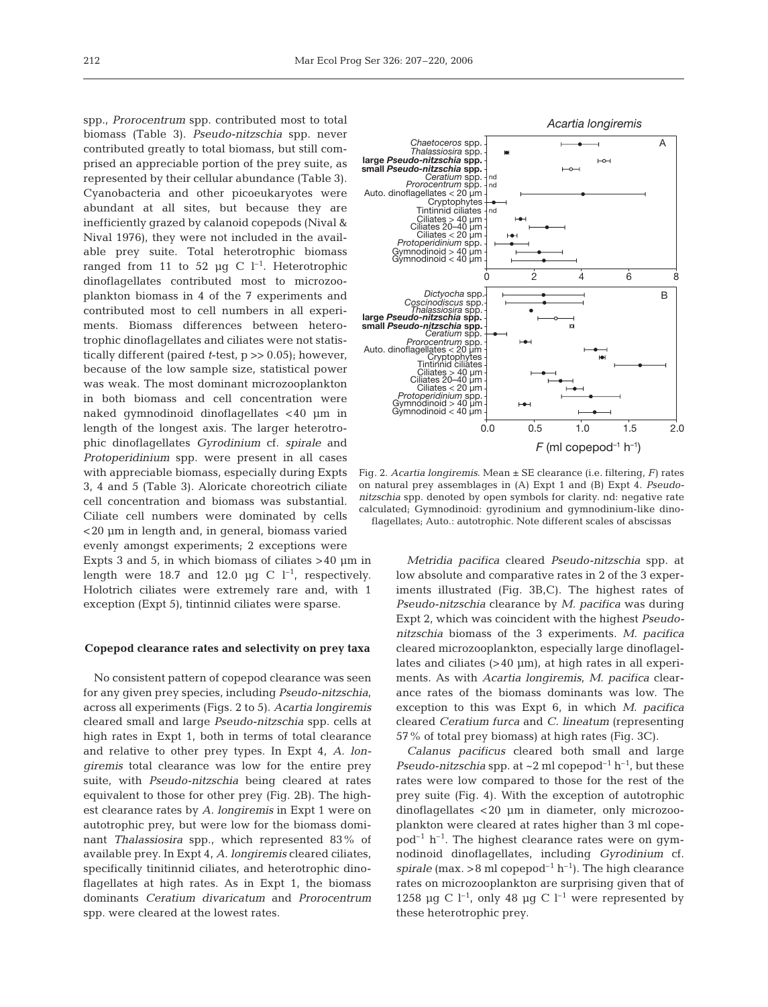spp., *Prorocentrum* spp. contributed most to total biomass (Table 3). *Pseudo-nitzschia* spp. never contributed greatly to total biomass, but still comprised an appreciable portion of the prey suite, as represented by their cellular abundance (Table 3). Cyanobacteria and other picoeukaryotes were abundant at all sites, but because they are inefficiently grazed by calanoid copepods (Nival & Nival 1976), they were not included in the available prey suite. Total heterotrophic biomass ranged from 11 to 52 μg C  $l^{-1}$ . Heterotrophic dinoflagellates contributed most to microzooplankton biomass in 4 of the 7 experiments and contributed most to cell numbers in all experiments. Biomass differences between heterotrophic dinoflagellates and ciliates were not statistically different (paired *t*-test, p >> 0.05); however, because of the low sample size, statistical power was weak. The most dominant microzooplankton in both biomass and cell concentration were naked gymnodinoid dinoflagellates < 40 μm in length of the longest axis. The larger heterotrophic dinoflagellates *Gyrodinium* cf. *spirale* and *Protoperidinium* spp. were present in all cases with appreciable biomass, especially during Expts 3, 4 and 5 (Table 3). Aloricate choreotrich ciliate cell concentration and biomass was substantial. Ciliate cell numbers were dominated by cells <20 μm in length and, in general, biomass varied evenly amongst experiments; 2 exceptions were Expts 3 and 5, in which biomass of ciliates >40 μm in length were 18.7 and 12.0  $\mu$ g C l<sup>-1</sup>, respectively. Holotrich ciliates were extremely rare and, with 1 exception (Expt 5), tintinnid ciliates were sparse.

#### **Copepod clearance rates and selectivity on prey taxa**

No consistent pattern of copepod clearance was seen for any given prey species, including *Pseudo-nitzschia*, across all experiments (Figs. 2 to 5). *Acartia longiremis* cleared small and large *Pseudo-nitzschia* spp. cells at high rates in Expt 1, both in terms of total clearance and relative to other prey types. In Expt 4, *A. longiremis* total clearance was low for the entire prey suite, with *Pseudo-nitzschia* being cleared at rates equivalent to those for other prey (Fig. 2B). The highest clearance rates by *A. longiremis* in Expt 1 were on autotrophic prey, but were low for the biomass dominant *Thalassiosira* spp., which represented 83% of available prey. In Expt 4, *A. longiremis* cleared ciliates, specifically tinitinnid ciliates, and heterotrophic dinoflagellates at high rates. As in Expt 1, the biomass dominants *Ceratium divaricatum* and *Prorocentrum* spp. were cleared at the lowest rates.



Fig. 2. *Acartia longiremis*. Mean ± SE clearance (i.e. filtering, *F*) rates on natural prey assemblages in (A) Expt 1 and (B) Expt 4. *Pseudonitzschia* spp. denoted by open symbols for clarity. nd: negative rate calculated; Gymnodinoid: gyrodinium and gymnodinium-like dinoflagellates; Auto.: autotrophic. Note different scales of abscissas

*Metridia pacifica* cleared *Pseudo-nitzschia* spp. at low absolute and comparative rates in 2 of the 3 experiments illustrated (Fig. 3B,C). The highest rates of *Pseudo-nitzschia* clearance by *M. pacifica* was during Expt 2, which was coincident with the highest *Pseudonitzschia* biomass of the 3 experiments. *M. pacifica* cleared microzooplankton, especially large dinoflagellates and ciliates (> 40 μm), at high rates in all experiments. As with *Acartia longiremis*, *M. pacifica* clearance rates of the biomass dominants was low. The exception to this was Expt 6, in which *M. pacifica* cleared *Ceratium furca* and *C. lineatum* (representing 57% of total prey biomass) at high rates (Fig. 3C).

*Calanus pacificus* cleared both small and large *Pseudo-nitzschia* spp. at  $\sim$ 2 ml copepod<sup>-1</sup> h<sup>-1</sup>, but these rates were low compared to those for the rest of the prey suite (Fig. 4). With the exception of autotrophic dinoflagellates <20 μm in diameter, only microzooplankton were cleared at rates higher than 3 ml cope $pod^{-1}$  h<sup>-1</sup>. The highest clearance rates were on gymnodinoid dinoflagellates, including *Gyrodinium* cf. *spirale* (max.  $>8$  ml copepod<sup>-1</sup> h<sup>-1</sup>). The high clearance rates on microzooplankton are surprising given that of 1258 μg C l<sup>-1</sup>, only 48 μg C l<sup>-1</sup> were represented by these heterotrophic prey.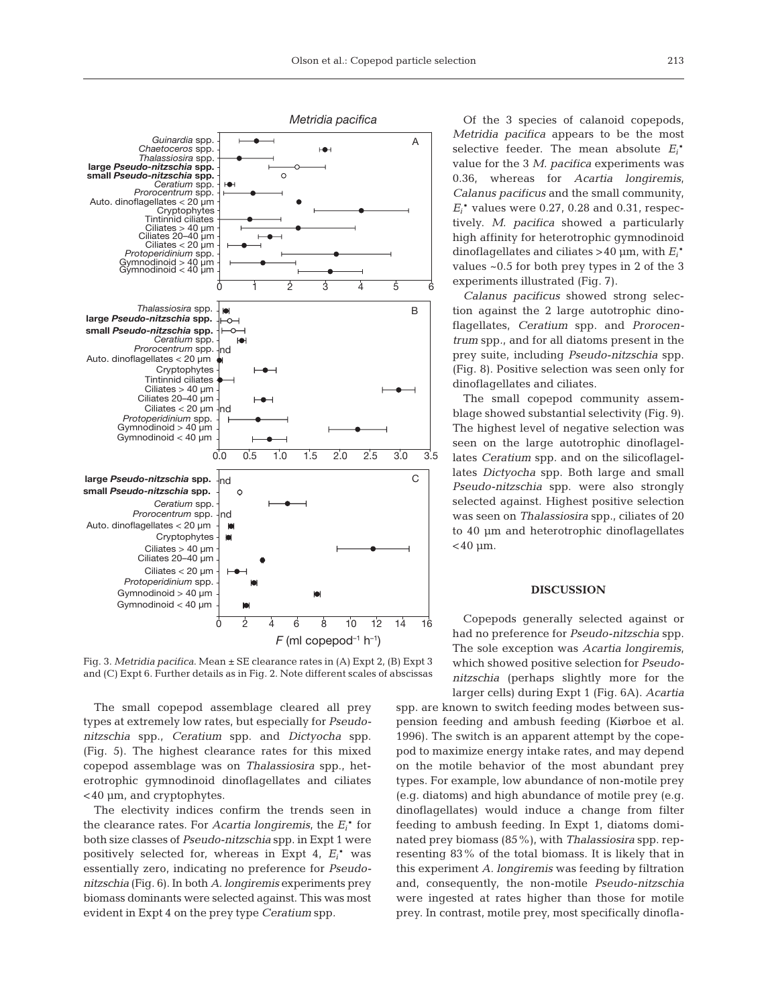

Fig. 3. *Metridia pacifica*. Mean ± SE clearance rates in (A) Expt 2, (B) Expt 3 and (C) Expt 6. Further details as in Fig. 2. Note different scales of abscissas

The small copepod assemblage cleared all prey types at extremely low rates, but especially for *Pseudonitzschia* spp., *Ceratium* spp. and *Dictyocha* spp. (Fig. 5). The highest clearance rates for this mixed copepod assemblage was on *Thalassiosira* spp., heterotrophic gymnodinoid dinoflagellates and ciliates <40 μm, and cryptophytes.

The electivity indices confirm the trends seen in the clearance rates. For *Acartia longiremis*, the *Ei*\* for both size classes of *Pseudo-nitzschia* spp. in Expt 1 were positively selected for, whereas in Expt 4, *Ei*\* was essentially zero, indicating no preference for *Pseudonitzschia* (Fig. 6). In both *A. longiremis* experiments prey biomass dominants were selected against. This was most evident in Expt 4 on the prey type *Ceratium* spp*.*

Of the 3 species of calanoid copepods, *Metridia pacifica* appears to be the most selective feeder. The mean absolute *Ei*\* value for the 3 *M. pacifica* experiments was 0.36, whereas for *Acartia longiremis*, *Calanus pacificus* and the small community, *Ei*\* values were 0.27, 0.28 and 0.31, respectively. *M. pacifica* showed a particularly high affinity for heterotrophic gymnodinoid dinoflagellates and ciliates > 40 μm, with *Ei*\* values ~0.5 for both prey types in 2 of the 3 experiments illustrated (Fig. 7).

*Calanus pacificus* showed strong selection against the 2 large autotrophic dinoflagellates, *Ceratium* spp. and *Prorocentrum* spp*.*, and for all diatoms present in the prey suite, including *Pseudo-nitzschia* spp. (Fig. 8). Positive selection was seen only for dinoflagellates and ciliates.

The small copepod community assemblage showed substantial selectivity (Fig. 9). The highest level of negative selection was seen on the large autotrophic dinoflagellates *Ceratium* spp*.* and on the silicoflagellates *Dictyocha* spp. Both large and small *Pseudo-nitzschia* spp. were also strongly selected against. Highest positive selection was seen on *Thalassiosira* spp., ciliates of 20 to 40 μm and heterotrophic dinoflagellates  $<$ 40 μm.

### **DISCUSSION**

Copepods generally selected against or had no preference for *Pseudo-nitzschia* spp. The sole exception was *Acartia longiremis*, which showed positive selection for *Pseudonitzschia* (perhaps slightly more for the larger cells) during Expt 1 (Fig. 6A). *Acartia*

spp. are known to switch feeding modes between suspension feeding and ambush feeding (Kiørboe et al. 1996). The switch is an apparent attempt by the copepod to maximize energy intake rates, and may depend on the motile behavior of the most abundant prey types. For example, low abundance of non-motile prey (e.g. diatoms) and high abundance of motile prey (e.g. dinoflagellates) would induce a change from filter feeding to ambush feeding. In Expt 1, diatoms dominated prey biomass (85%), with *Thalassiosira* spp. representing 83% of the total biomass. It is likely that in this experiment *A. longiremis* was feeding by filtration and, consequently, the non-motile *Pseudo-nitzschia* were ingested at rates higher than those for motile prey. In contrast, motile prey, most specifically dinofla-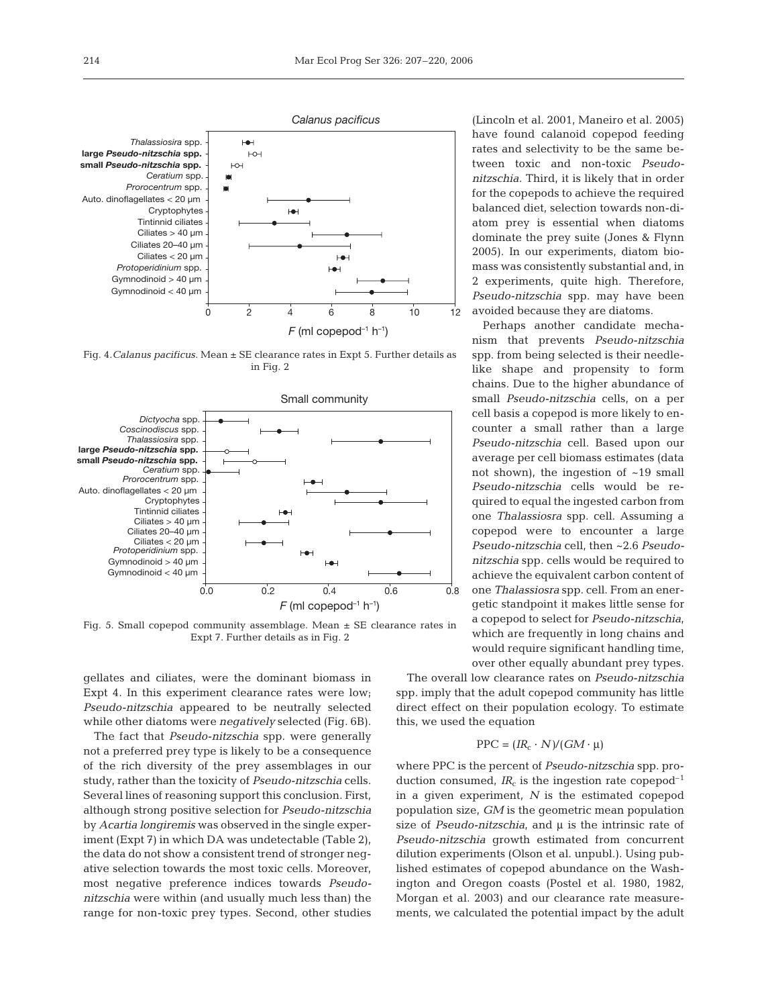

Fig. 4.*Calanus pacificus.* Mean ± SE clearance rates in Expt 5. Further details as in Fig. 2



Fig. 5. Small copepod community assemblage. Mean  $\pm$  SE clearance rates in Expt 7. Further details as in Fig. 2

gellates and ciliates, were the dominant biomass in Expt 4. In this experiment clearance rates were low; *Pseudo-nitzschia* appeared to be neutrally selected while other diatoms were *negatively* selected (Fig. 6B).

The fact that *Pseudo-nitzschia* spp. were generally not a preferred prey type is likely to be a consequence of the rich diversity of the prey assemblages in our study, rather than the toxicity of *Pseudo-nitzschia* cells. Several lines of reasoning support this conclusion. First, although strong positive selection for *Pseudo-nitzschia* by *Acartia longiremis* was observed in the single experiment (Expt 7) in which DA was undetectable (Table 2), the data do not show a consistent trend of stronger negative selection towards the most toxic cells. Moreover, most negative preference indices towards *Pseudonitzschia* were within (and usually much less than) the range for non-toxic prey types. Second, other studies (Lincoln et al. 2001, Maneiro et al. 2005) have found calanoid copepod feeding rates and selectivity to be the same between toxic and non-toxic *Pseudonitzschia.* Third, it is likely that in order for the copepods to achieve the required balanced diet, selection towards non-diatom prey is essential when diatoms dominate the prey suite (Jones & Flynn 2005). In our experiments, diatom biomass was consistently substantial and, in 2 experiments, quite high. Therefore, *Pseudo-nitzschia* spp. may have been avoided because they are diatoms.

Perhaps another candidate mechanism that prevents *Pseudo-nitzschia* spp. from being selected is their needlelike shape and propensity to form chains. Due to the higher abundance of small *Pseudo-nitzschia* cells, on a per cell basis a copepod is more likely to encounter a small rather than a large *Pseudo-nitzschia* cell. Based upon our average per cell biomass estimates (data not shown), the ingestion of ~19 small *Pseudo-nitzschia* cells would be required to equal the ingested carbon from one *Thalassiosra* spp. cell. Assuming a copepod were to encounter a large *Pseudo-nitzschia* cell, then ~2.6 *Pseudonitzschia* spp. cells would be required to achieve the equivalent carbon content of one *Thalassiosra* spp. cell. From an energetic standpoint it makes little sense for a copepod to select for *Pseudo-nitzschia*, which are frequently in long chains and would require significant handling time, over other equally abundant prey types.

The overall low clearance rates on *Pseudo-nitzschia* spp. imply that the adult copepod community has little direct effect on their population ecology. To estimate this, we used the equation

# $PPC = (IR_c \cdot N)/(GM \cdot \mu)$

where PPC is the percent of *Pseudo-nitzschia* spp. production consumed,  $IR_c$  is the ingestion rate copepod<sup>-1</sup> in a given experiment, *N* is the estimated copepod population size, *GM* is the geometric mean population size of *Pseudo-nitzschia*, and μ is the intrinsic rate of *Pseudo-nitzschia* growth estimated from concurrent dilution experiments (Olson et al. unpubl.). Using published estimates of copepod abundance on the Washington and Oregon coasts (Postel et al. 1980, 1982, Morgan et al. 2003) and our clearance rate measurements, we calculated the potential impact by the adult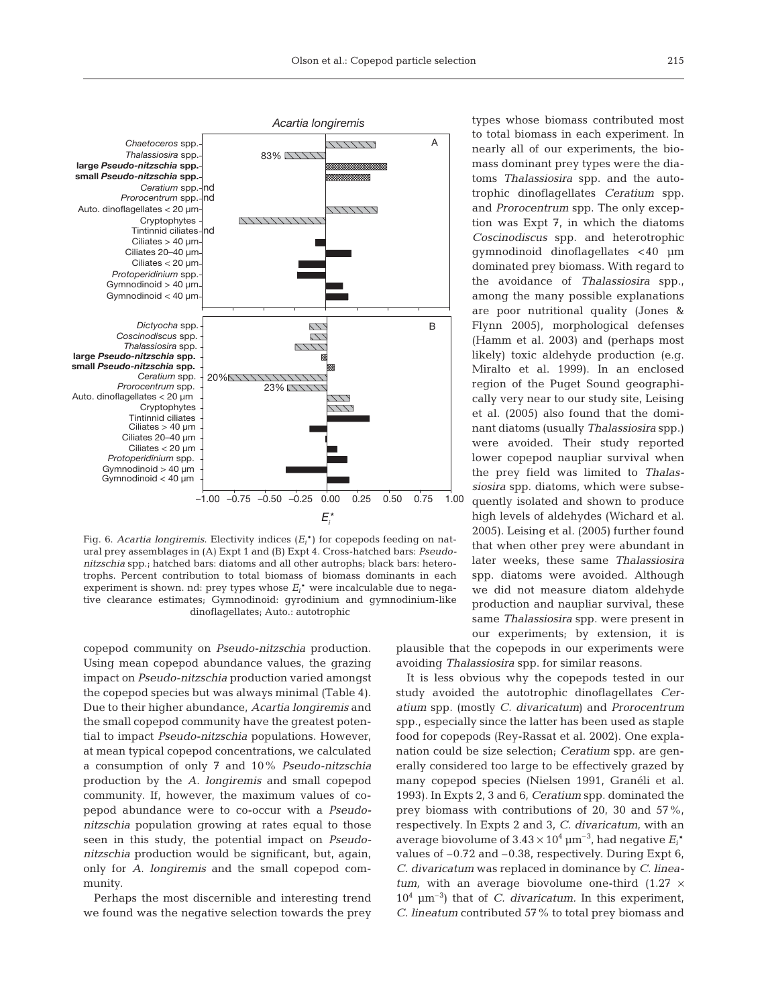

Fig. 6. *Acartia longiremis*. Electivity indices (*Ei*\*) for copepods feeding on natural prey assemblages in (A) Expt 1 and (B) Expt 4. Cross-hatched bars: *Pseudonitzschia* spp.; hatched bars: diatoms and all other autrophs; black bars: heterotrophs. Percent contribution to total biomass of biomass dominants in each experiment is shown. nd: prey types whose  $E_i^*$  were incalculable due to negative clearance estimates; Gymnodinoid: gyrodinium and gymnodinium-like dinoflagellates; Auto.: autotrophic

copepod community on *Pseudo-nitzschia* production. Using mean copepod abundance values, the grazing impact on *Pseudo-nitzschia* production varied amongst the copepod species but was always minimal (Table 4). Due to their higher abundance, *Acartia longiremis* and the small copepod community have the greatest potential to impact *Pseudo-nitzschia* populations. However, at mean typical copepod concentrations, we calculated a consumption of only 7 and 10% *Pseudo-nitzschia* production by the *A. longiremis* and small copepod community. If, however, the maximum values of copepod abundance were to co-occur with a *Pseudonitzschia* population growing at rates equal to those seen in this study, the potential impact on *Pseudonitzschia* production would be significant, but, again, only for *A. longiremis* and the small copepod community.

Perhaps the most discernible and interesting trend we found was the negative selection towards the prey

types whose biomass contributed most to total biomass in each experiment. In nearly all of our experiments, the biomass dominant prey types were the diatoms *Thalassiosira* spp. and the autotrophic dinoflagellates *Ceratium* spp. and *Prorocentrum* spp. The only exception was Expt 7, in which the diatoms *Coscinodiscus* spp. and heterotrophic gymnodinoid dinoflagellates < 40 μm dominated prey biomass. With regard to the avoidance of *Thalassiosira* spp., among the many possible explanations are poor nutritional quality (Jones & Flynn 2005), morphological defenses (Hamm et al*.* 2003) and (perhaps most likely) toxic aldehyde production (e.g. Miralto et al. 1999). In an enclosed region of the Puget Sound geographically very near to our study site, Leising et al. (2005) also found that the dominant diatoms (usually *Thalassiosira* spp.) were avoided. Their study reported lower copepod naupliar survival when the prey field was limited to *Thalassiosira* spp. diatoms, which were subsequently isolated and shown to produce high levels of aldehydes (Wichard et al. 2005). Leising et al. (2005) further found that when other prey were abundant in later weeks, these same *Thalassiosira* spp. diatoms were avoided. Although we did not measure diatom aldehyde production and naupliar survival, these same *Thalassiosira* spp. were present in our experiments; by extension, it is

plausible that the copepods in our experiments were avoiding *Thalassiosira* spp. for similar reasons.

It is less obvious why the copepods tested in our study avoided the autotrophic dinoflagellates *Ceratium* spp. (mostly *C. divaricatum*) and *Prorocentrum* spp., especially since the latter has been used as staple food for copepods (Rey-Rassat et al. 2002). One explanation could be size selection; *Ceratium* spp. are generally considered too large to be effectively grazed by many copepod species (Nielsen 1991, Granéli et al. 1993). In Expts 2, 3 and 6, *Ceratium* spp. dominated the prey biomass with contributions of 20, 30 and 57%, respectively. In Expts 2 and 3, *C. divaricatum*, with an average biovolume of  $3.43 \times 10^4 \,\mathrm{\upmu m^{-3}}$ , had negative  $E_i^*$ values of –0.72 and –0.38, respectively. During Expt 6, *C. divaricatum* was replaced in dominance by *C. lineatum*, with an average biovolume one-third  $(1.27 \times$  $10^4$   $\mu$ m<sup>-3</sup>) that of *C. divaricatum.* In this experiment, *C. lineatum* contributed 57% to total prey biomass and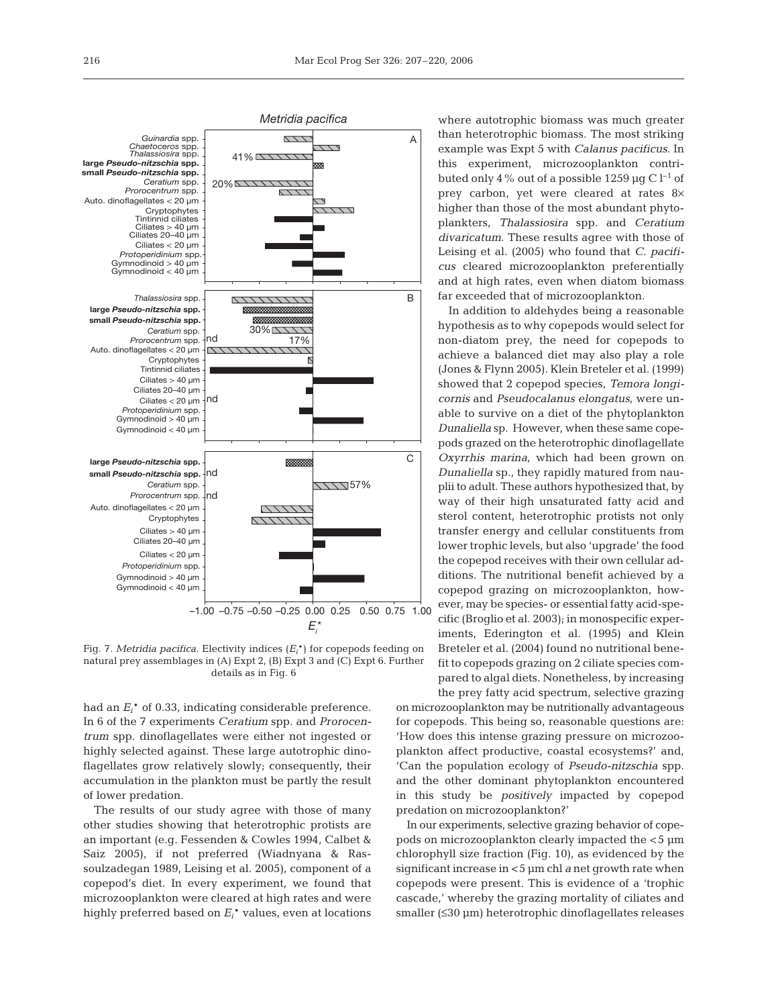

Fig. 7. *Metridia pacifica*. Electivity indices (*Ei*\*) for copepods feeding on natural prey assemblages in (A) Expt 2, (B) Expt 3 and (C) Expt 6. Further details as in Fig. 6

had an *Ei*\* of 0.33, indicating considerable preference. In 6 of the 7 experiments *Ceratium* spp. and *Prorocentrum* spp. dinoflagellates were either not ingested or highly selected against. These large autotrophic dinoflagellates grow relatively slowly; consequently, their accumulation in the plankton must be partly the result of lower predation.

The results of our study agree with those of many other studies showing that heterotrophic protists are an important (e.g. Fessenden & Cowles 1994, Calbet & Saiz 2005), if not preferred (Wiadnyana & Rassoulzadegan 1989, Leising et al. 2005), component of a copepod's diet. In every experiment, we found that microzooplankton were cleared at high rates and were highly preferred based on *Ei*\* values, even at locations

where autotrophic biomass was much greater than heterotrophic biomass. The most striking example was Expt 5 with *Calanus pacificus*. In this experiment, microzooplankton contributed only 4% out of a possible 1259 μg C  $l^{-1}$  of prey carbon, yet were cleared at rates 8× higher than those of the most abundant phytoplankters, *Thalassiosira* spp. and *Ceratium divaricatum*. These results agree with those of Leising et al. (2005) who found that *C. pacificus* cleared microzooplankton preferentially and at high rates, even when diatom biomass far exceeded that of microzooplankton.

In addition to aldehydes being a reasonable hypothesis as to why copepods would select for non-diatom prey, the need for copepods to achieve a balanced diet may also play a role (Jones & Flynn 2005). Klein Breteler et al. (1999) showed that 2 copepod species, *Temora longicornis* and *Pseudocalanus elongatus*, were unable to survive on a diet of the phytoplankton *Dunaliella* sp. However, when these same copepods grazed on the heterotrophic dinoflagellate *Oxyrrhis marina*, which had been grown on *Dunaliella* sp., they rapidly matured from nauplii to adult. These authors hypothesized that, by way of their high unsaturated fatty acid and sterol content, heterotrophic protists not only transfer energy and cellular constituents from lower trophic levels, but also 'upgrade' the food the copepod receives with their own cellular additions. The nutritional benefit achieved by a copepod grazing on microzooplankton, however, may be species- or essential fatty acid-specific (Broglio et al. 2003); in monospecific experiments, Ederington et al. (1995) and Klein Breteler et al. (2004) found no nutritional benefit to copepods grazing on 2 ciliate species compared to algal diets. Nonetheless, by increasing the prey fatty acid spectrum, selective grazing

on microzooplankton may be nutritionally advantageous for copepods. This being so, reasonable questions are: 'How does this intense grazing pressure on microzooplankton affect productive, coastal ecosystems?' and, 'Can the population ecology of *Pseudo-nitzschia* spp. and the other dominant phytoplankton encountered in this study be *positively* impacted by copepod predation on microzooplankton?'

In our experiments, selective grazing behavior of copepods on microzooplankton clearly impacted the < 5 μm chlorophyll size fraction (Fig. 10), as evidenced by the significant increase in <5 μm chl *a* net growth rate when copepods were present. This is evidence of a 'trophic cascade,' whereby the grazing mortality of ciliates and smaller (≤30 μm) heterotrophic dinoflagellates releases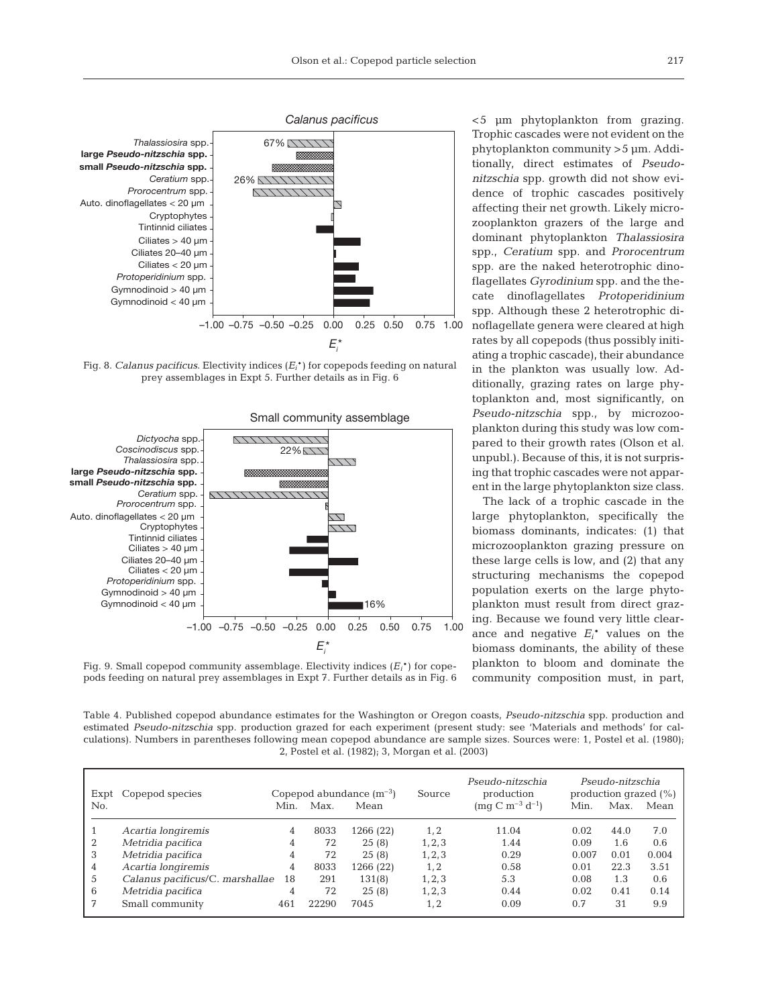

Fig. 8. *Calanus pacificus*. Electivity indices (*Ei*\*) for copepods feeding on natural prey assemblages in Expt 5. Further details as in Fig. 6



tionally, direct estimates of *Pseudonitzschia* spp. growth did not show evidence of trophic cascades positively affecting their net growth. Likely microzooplankton grazers of the large and dominant phytoplankton *Thalassiosira* spp., *Ceratium* spp. and *Prorocentrum* spp. are the naked heterotrophic dinoflagellates *Gyrodinium* spp. and the thecate dinoflagellates *Protoperidinium* spp. Although these 2 heterotrophic dinoflagellate genera were cleared at high rates by all copepods (thus possibly initiating a trophic cascade), their abundance in the plankton was usually low. Additionally, grazing rates on large phytoplankton and, most significantly, on *Pseudo-nitzschia* spp., by microzooplankton during this study was low compared to their growth rates (Olson et al. unpubl.). Because of this, it is not surprising that trophic cascades were not apparent in the large phytoplankton size class.

The lack of a trophic cascade in the large phytoplankton, specifically the biomass dominants, indicates: (1) that microzooplankton grazing pressure on these large cells is low, and (2) that any structuring mechanisms the copepod population exerts on the large phytoplankton must result from direct grazing. Because we found very little clearance and negative  $E_i^*$  values on the biomass dominants, the ability of these plankton to bloom and dominate the community composition must, in part,

Fig. 9. Small copepod community assemblage. Electivity indices (*Ei*\*) for copepods feeding on natural prey assemblages in Expt 7. Further details as in Fig. 6

Table 4. Published copepod abundance estimates for the Washington or Oregon coasts, *Pseudo-nitzschia* spp. production and estimated *Pseudo-nitzschia* spp. production grazed for each experiment (present study: see 'Materials and methods' for calculations). Numbers in parentheses following mean copepod abundance are sample sizes. Sources were: 1, Postel et al. (1980); 2, Postel et al. (1982); 3, Morgan et al. (2003)

|   | Copepod species<br>Expt<br>No.  |    | Copepod abundance $(m^{-3})$ |           |         | Pseudo-nitzschia<br>production | Pseudo-nitzschia<br>production grazed $(\%)$ |      |       |
|---|---------------------------------|----|------------------------------|-----------|---------|--------------------------------|----------------------------------------------|------|-------|
|   |                                 |    | Max.                         | Mean      |         | $\text{ (mg C m}^{-3} d^{-1})$ | Min.                                         | Max. | Mean  |
|   | Acartia longiremis              | 4  | 8033                         | 1266 (22) | 1.2     | 11.04                          | 0.02                                         | 44.0 | 7.0   |
| 2 | Metridia pacifica               | 4  | 72                           | 25(8)     | 1, 2, 3 | 1.44                           | 0.09                                         | 1.6  | 0.6   |
| 3 | Metridia pacifica               | 4  | 72                           | 25(8)     | 1, 2, 3 | 0.29                           | 0.007                                        | 0.01 | 0.004 |
| 4 | Acartia longiremis              | 4  | 8033                         | 1266 (22) | 1, 2    | 0.58                           | 0.01                                         | 22.3 | 3.51  |
| 5 | Calanus pacificus/C. marshallae | 18 | 291                          | 131(8)    | 1, 2, 3 | 5.3                            | 0.08                                         | 1.3  | 0.6   |
| 6 | Metridia pacifica               | 4  | 72                           | 25(8)     | 1, 2, 3 | 0.44                           | 0.02                                         | 0.41 | 0.14  |
| 7 | Small community                 |    | 22290                        | 7045      | 1, 2    | 0.09                           | 0.7                                          | 31   | 9.9   |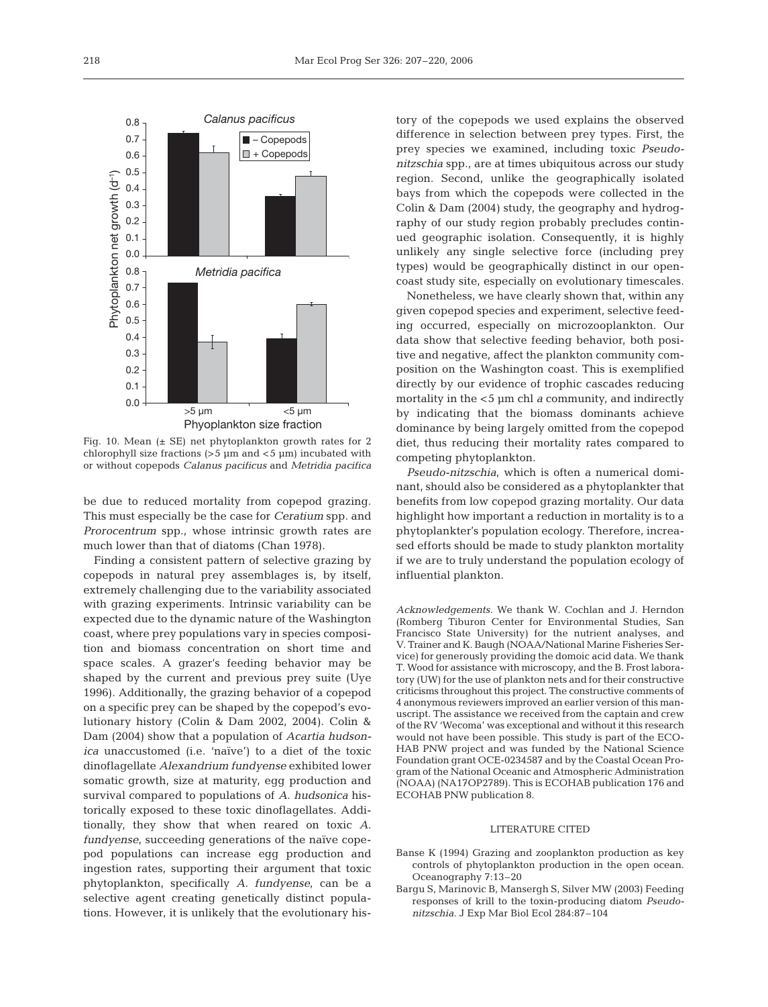

Fig. 10. Mean (± SE) net phytoplankton growth rates for 2 chlorophyll size fractions  $(>5 \mu m)$  and  $< 5 \mu m)$  incubated with or without copepods *Calanus pacificus* and *Metridia pacifica*

be due to reduced mortality from copepod grazing. This must especially be the case for *Ceratium* spp. and *Prorocentrum* spp., whose intrinsic growth rates are much lower than that of diatoms (Chan 1978).

Finding a consistent pattern of selective grazing by copepods in natural prey assemblages is, by itself, extremely challenging due to the variability associated with grazing experiments. Intrinsic variability can be expected due to the dynamic nature of the Washington coast, where prey populations vary in species composition and biomass concentration on short time and space scales. A grazer's feeding behavior may be shaped by the current and previous prey suite (Uye 1996). Additionally, the grazing behavior of a copepod on a specific prey can be shaped by the copepod's evolutionary history (Colin & Dam 2002, 2004). Colin & Dam (2004) show that a population of *Acartia hudsonica* unaccustomed (i.e. 'naïve') to a diet of the toxic dinoflagellate *Alexandrium fundyense* exhibited lower somatic growth, size at maturity, egg production and survival compared to populations of *A. hudsonica* historically exposed to these toxic dinoflagellates. Additionally, they show that when reared on toxic *A. fundyense*, succeeding generations of the naïve copepod populations can increase egg production and ingestion rates, supporting their argument that toxic phytoplankton, specifically *A. fundyense*, can be a selective agent creating genetically distinct populations. However, it is unlikely that the evolutionary his-

tory of the copepods we used explains the observed difference in selection between prey types. First, the prey species we examined, including toxic *Pseudonitzschia* spp., are at times ubiquitous across our study region. Second, unlike the geographically isolated bays from which the copepods were collected in the Colin & Dam (2004) study, the geography and hydrography of our study region probably precludes continued geographic isolation. Consequently, it is highly unlikely any single selective force (including prey types) would be geographically distinct in our opencoast study site, especially on evolutionary timescales.

Nonetheless, we have clearly shown that, within any given copepod species and experiment, selective feeding occurred, especially on microzooplankton. Our data show that selective feeding behavior, both positive and negative, affect the plankton community composition on the Washington coast. This is exemplified directly by our evidence of trophic cascades reducing mortality in the < 5 μm chl *a* community, and indirectly by indicating that the biomass dominants achieve dominance by being largely omitted from the copepod diet, thus reducing their mortality rates compared to competing phytoplankton.

*Pseudo-nitzschia*, which is often a numerical dominant, should also be considered as a phytoplankter that benefits from low copepod grazing mortality. Our data highlight how important a reduction in mortality is to a phytoplankter's population ecology. Therefore, increased efforts should be made to study plankton mortality if we are to truly understand the population ecology of influential plankton.

*Acknowledgements.* We thank W. Cochlan and J. Herndon (Romberg Tiburon Center for Environmental Studies, San Francisco State University) for the nutrient analyses, and V. Trainer and K. Baugh (NOAA/National Marine Fisheries Service) for generously providing the domoic acid data. We thank T. Wood for assistance with microscopy, and the B. Frost laboratory (UW) for the use of plankton nets and for their constructive criticisms throughout this project. The constructive comments of 4 anonymous reviewers improved an earlier version of this manuscript. The assistance we received from the captain and crew of the RV 'Wecoma' was exceptional and without it this research would not have been possible. This study is part of the ECO-HAB PNW project and was funded by the National Science Foundation grant OCE-0234587 and by the Coastal Ocean Program of the National Oceanic and Atmospheric Administration (NOAA) (NA17OP2789). This is ECOHAB publication 176 and ECOHAB PNW publication 8.

#### LITERATURE CITED

- Banse K (1994) Grazing and zooplankton production as key controls of phytoplankton production in the open ocean. Oceanography 7:13–20
- Bargu S, Marinovic B, Mansergh S, Silver MW (2003) Feeding responses of krill to the toxin-producing diatom *Pseudonitzschia*. J Exp Mar Biol Ecol 284:87–104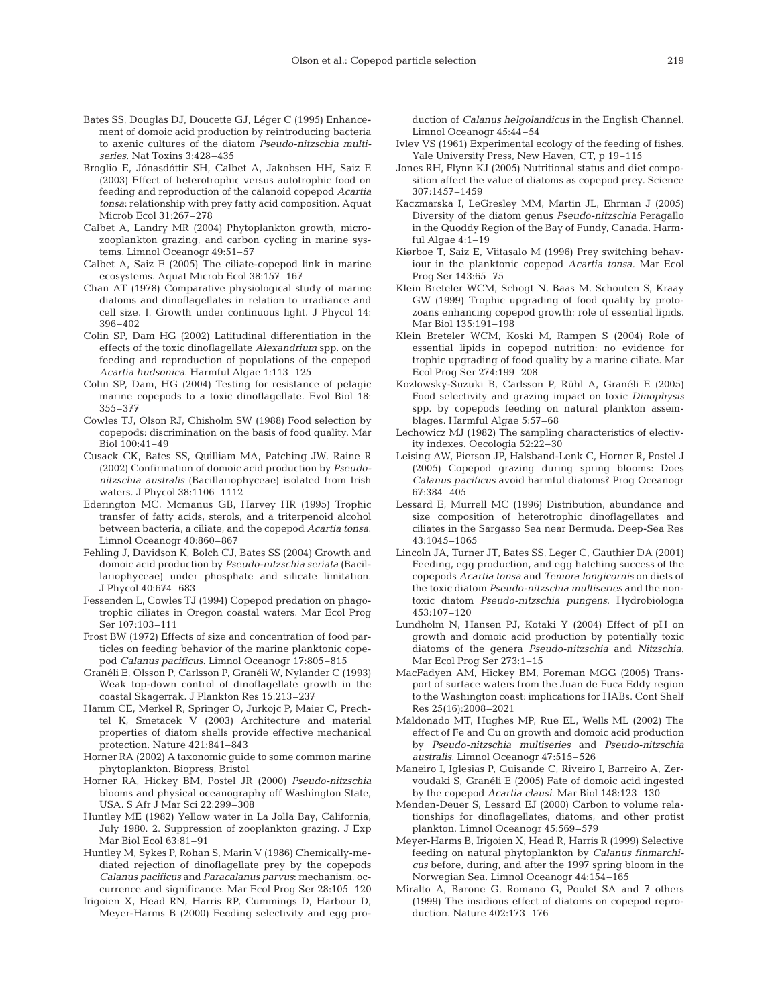- Bates SS, Douglas DJ, Doucette GJ, Léger C (1995) Enhancement of domoic acid production by reintroducing bacteria to axenic cultures of the diatom *Pseudo-nitzschia multiseries*. Nat Toxins 3:428–435
- Broglio E, Jónasdóttir SH, Calbet A, Jakobsen HH, Saiz E (2003) Effect of heterotrophic versus autotrophic food on feeding and reproduction of the calanoid copepod *Acartia tonsa*: relationship with prey fatty acid composition. Aquat Microb Ecol 31:267–278
- Calbet A, Landry MR (2004) Phytoplankton growth, microzooplankton grazing, and carbon cycling in marine systems. Limnol Oceanogr 49:51–57
- Calbet A, Saiz E (2005) The ciliate-copepod link in marine ecosystems. Aquat Microb Ecol 38:157–167
- Chan AT (1978) Comparative physiological study of marine diatoms and dinoflagellates in relation to irradiance and cell size. I. Growth under continuous light. J Phycol 14: 396–402
- Colin SP, Dam HG (2002) Latitudinal differentiation in the effects of the toxic dinoflagellate *Alexandrium* spp. on the feeding and reproduction of populations of the copepod *Acartia hudsonica*. Harmful Algae 1:113–125
- Colin SP, Dam, HG (2004) Testing for resistance of pelagic marine copepods to a toxic dinoflagellate. Evol Biol 18: 355–377
- Cowles TJ, Olson RJ, Chisholm SW (1988) Food selection by copepods: discrimination on the basis of food quality. Mar Biol 100:41–49
- Cusack CK, Bates SS, Quilliam MA, Patching JW, Raine R (2002) Confirmation of domoic acid production by *Pseudonitzschia australis* (Bacillariophyceae) isolated from Irish waters. J Phycol 38:1106–1112
- Ederington MC, Mcmanus GB, Harvey HR (1995) Trophic transfer of fatty acids, sterols, and a triterpenoid alcohol between bacteria, a ciliate, and the copepod *Acartia tonsa*. Limnol Oceanogr 40:860–867
- Fehling J, Davidson K, Bolch CJ, Bates SS (2004) Growth and domoic acid production by *Pseudo-nitzschia seriata* (Bacillariophyceae) under phosphate and silicate limitation. J Phycol 40:674–683
- Fessenden L, Cowles TJ (1994) Copepod predation on phagotrophic ciliates in Oregon coastal waters. Mar Ecol Prog Ser 107:103–111
- Frost BW (1972) Effects of size and concentration of food particles on feeding behavior of the marine planktonic copepod *Calanus pacificus*. Limnol Oceanogr 17:805–815
- Granéli E, Olsson P, Carlsson P, Granéli W, Nylander C (1993) Weak top-down control of dinoflagellate growth in the coastal Skagerrak. J Plankton Res 15:213–237
- Hamm CE, Merkel R, Springer O, Jurkojc P, Maier C, Prechtel K, Smetacek V (2003) Architecture and material properties of diatom shells provide effective mechanical protection. Nature 421:841–843
- Horner RA (2002) A taxonomic guide to some common marine phytoplankton. Biopress, Bristol
- Horner RA, Hickey BM, Postel JR (2000) *Pseudo-nitzschia* blooms and physical oceanography off Washington State, USA. S Afr J Mar Sci 22:299–308
- Huntley ME (1982) Yellow water in La Jolla Bay, California, July 1980. 2. Suppression of zooplankton grazing. J Exp Mar Biol Ecol 63:81–91
- Huntley M, Sykes P, Rohan S, Marin V (1986) Chemically-mediated rejection of dinoflagellate prey by the copepods *Calanus pacificus* and *Paracalanus parvus*: mechanism, occurrence and significance. Mar Ecol Prog Ser 28:105–120
- Irigoien X, Head RN, Harris RP, Cummings D, Harbour D, Meyer-Harms B (2000) Feeding selectivity and egg pro-

duction of *Calanus helgolandicus* in the English Channel. Limnol Oceanogr 45:44–54

- Ivlev VS (1961) Experimental ecology of the feeding of fishes. Yale University Press, New Haven, CT, p 19–115
- Jones RH, Flynn KJ (2005) Nutritional status and diet composition affect the value of diatoms as copepod prey. Science 307:1457–1459
- Kaczmarska I, LeGresley MM, Martin JL, Ehrman J (2005) Diversity of the diatom genus *Pseudo-nitzschia* Peragallo in the Quoddy Region of the Bay of Fundy, Canada. Harmful Algae 4:1–19
- Kiørboe T, Saiz E, Viitasalo M (1996) Prey switching behaviour in the planktonic copepod *Acartia tonsa*. Mar Ecol Prog Ser 143:65–75
- Klein Breteler WCM, Schogt N, Baas M, Schouten S, Kraay GW (1999) Trophic upgrading of food quality by protozoans enhancing copepod growth: role of essential lipids. Mar Biol 135:191–198
- Klein Breteler WCM, Koski M, Rampen S (2004) Role of essential lipids in copepod nutrition: no evidence for trophic upgrading of food quality by a marine ciliate. Mar Ecol Prog Ser 274:199–208
- Kozlowsky-Suzuki B, Carlsson P, Rühl A, Granéli E (2005) Food selectivity and grazing impact on toxic *Dinophysis* spp. by copepods feeding on natural plankton assemblages. Harmful Algae 5:57–68
- Lechowicz MJ (1982) The sampling characteristics of electivity indexes. Oecologia 52:22–30
- Leising AW, Pierson JP, Halsband-Lenk C, Horner R, Postel J (2005) Copepod grazing during spring blooms: Does *Calanus pacificus* avoid harmful diatoms? Prog Oceanogr 67:384–405
- Lessard E, Murrell MC (1996) Distribution, abundance and size composition of heterotrophic dinoflagellates and ciliates in the Sargasso Sea near Bermuda. Deep-Sea Res 43:1045–1065
- Lincoln JA, Turner JT, Bates SS, Leger C, Gauthier DA (2001) Feeding, egg production, and egg hatching success of the copepods *Acartia tonsa* and *Temora longicornis* on diets of the toxic diatom *Pseudo-nitzschia multiseries* and the nontoxic diatom *Pseudo-nitzschia pungens*. Hydrobiologia 453:107–120
- Lundholm N, Hansen PJ, Kotaki Y (2004) Effect of pH on growth and domoic acid production by potentially toxic diatoms of the genera *Pseudo-nitzschia* and *Nitzschia*. Mar Ecol Prog Ser 273:1–15
- MacFadyen AM, Hickey BM, Foreman MGG (2005) Transport of surface waters from the Juan de Fuca Eddy region to the Washington coast: implications for HABs. Cont Shelf Res 25(16):2008–2021
- Maldonado MT, Hughes MP, Rue EL, Wells ML (2002) The effect of Fe and Cu on growth and domoic acid production by *Pseudo-nitzschia multiseries* and *Pseudo-nitzschia australis*. Limnol Oceanogr 47:515–526
- Maneiro I, Iglesias P, Guisande C, Riveiro I, Barreiro A, Zervoudaki S, Granéli E (2005) Fate of domoic acid ingested by the copepod *Acartia clausi*. Mar Biol 148:123–130
- Menden-Deuer S, Lessard EJ (2000) Carbon to volume relationships for dinoflagellates, diatoms, and other protist plankton. Limnol Oceanogr 45:569–579
- Meyer-Harms B, Irigoien X, Head R, Harris R (1999) Selective feeding on natural phytoplankton by *Calanus finmarchicus* before, during, and after the 1997 spring bloom in the Norwegian Sea. Limnol Oceanogr 44:154–165
- Miralto A, Barone G, Romano G, Poulet SA and 7 others (1999) The insidious effect of diatoms on copepod reproduction. Nature 402:173–176